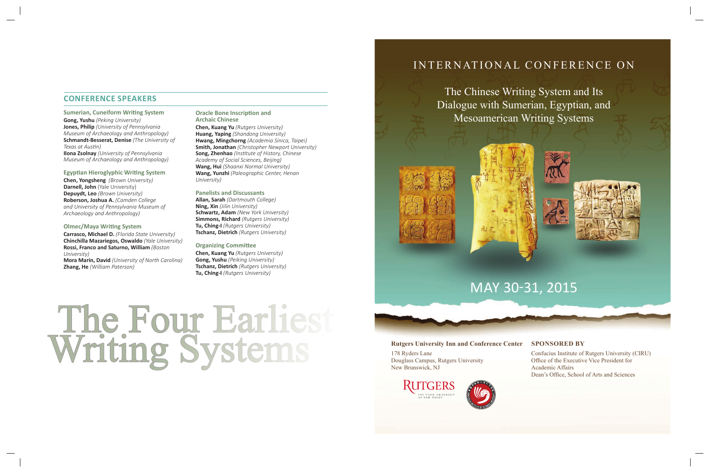# INTERNATIONAL CONFERENCE ON







### Rutgers University Inn and Conference Center SPONSORED BY

The Chinese Writing System and Its Dialogue with Sumerian, Egyptian, and Mesoamerican Writing Systems

M

Confucius Institute of Rutgers University (CIRU) Office of the Executive Vice President for Academic Affairs Dean's Office, School of Arts and Sciences



**Sumerian, Cuneiform Writing System Gong, Yushu** *(Peking University)* **Jones, Philip** *(University of Pennsylvania Museum of Archaeology and Anthropology)* **Schmandt-Besserat, Denise** *(The University of Texas at AusƟ n)* **Ilona Zsolnay** *(University of Pennsylvania* 

> 178 Ryders Lane Douglass Campus, Rutgers University New Brunswick, NJ





# **CONFERENCE SPEAKERS**

#### **Oracle Bone Inscription and Archaic Chinese**

# *Museum of Archaeology and Anthropology)*

## **Egyptian Hieroglyphic Writing System**

**Chen, Yongsheng** *(Brown University)* **Darnell, John** (Yale University) **Depuydt, Leo** *(Brown University)* **Roberson, Joshua A.** *(Camden College and University of Pennsylvania Museum of Archaeology and Anthropology)*

#### **Olmec/Maya Writing System**

**Carrasco, Michael D.** *(Florida State University)* **Chinchilla Mazariegos, Oswaldo** *(Yale University)* **Rossi, Franco and Saturno, William** *(Boston University)*

**Mora Marin, David** *(University of North Carolina)* **Zhang, He** *(William Paterson)*

**Chen, Kuang Yu** *(Rutgers University)* **Huang, Yaping** *(Shandong University)* **Hwang, Mingchorng** *(Academia Sinica, Taipei)* **Smith, Jonathan** *(Christopher Newport University)* **Song, Zhenhao** (Institute of History, Chinese *Academy of Social Sciences, Beijing)* **Wang, Hui** *(Shaanxi Normal University)* **Wang, Yunzhi** *(Paleographic Center, Henan University)*

#### **Panelists and Discussants**

**Allan, Sarah** *(Dartmouth College)* **Ning, Xin** *(Jilin University)* **Schwartz, Adam** *(New York University)* **Simmons, Richard** *(Rutgers University)* **Tu, Ching-I** *(Rutgers University)* **Tschanz, Dietrich** *(Rutgers University)*

#### **Organizing Committee**

**Chen, Kuang Yu** *(Rutgers University)* **Gong, Yushu** *(Peiking University)* **Tschanz, Dietrich** *(Rutgers University)* **Tu, Ching-I** *(Rutgers University)*

The Four Earliest<br>Writing Systems